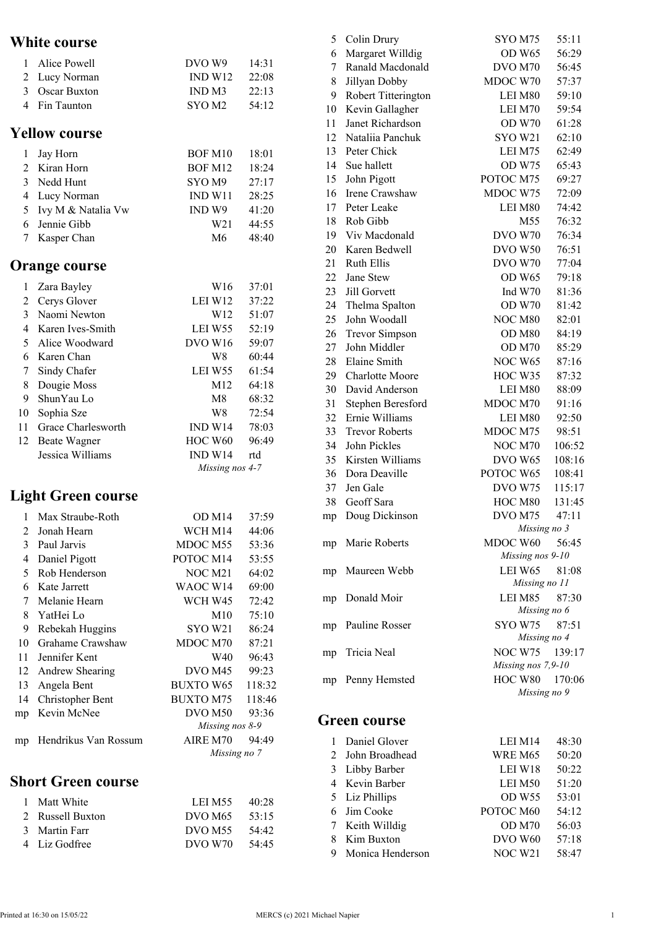## **White course**

| 1                        | Alice Powell              | DVO W9                                                                        | 14:31           |
|--------------------------|---------------------------|-------------------------------------------------------------------------------|-----------------|
| $\overline{2}$           | Lucy Norman               | IND W12                                                                       | 22:08           |
|                          | 3 Oscar Buxton            | IND <sub>M3</sub>                                                             | 22:13           |
| $\overline{\mathcal{L}}$ | Fin Taunton               | SYO <sub>M2</sub>                                                             | 54:12           |
|                          | <b>Yellow course</b>      |                                                                               |                 |
| 1                        | Jay Horn                  | <b>BOF M10</b>                                                                | 18:01           |
|                          | 2 Kiran Horn              | BOF M12                                                                       | 18:24           |
| $\overline{3}$           | Nedd Hunt                 | SYO M9                                                                        | 27:17           |
| $\overline{4}$           | Lucy Norman               | IND W11                                                                       | 28:25           |
| 5 <sup>1</sup>           | Ivy M & Natalia Vw        | IND W9                                                                        | 41:20           |
| 6                        | Jennie Gibb               | W <sub>21</sub>                                                               | 44:55           |
| 7                        | Kasper Chan               | M6                                                                            | 48:40           |
|                          | <b>Orange course</b>      |                                                                               |                 |
| 1                        | Zara Bayley               | W16                                                                           | 37:01           |
| $\overline{2}$           | Cerys Glover              | LEI W12                                                                       | 37:22           |
| $\overline{3}$           | Naomi Newton              | W12                                                                           | 51:07           |
| $\overline{4}$           | Karen Ives-Smith          | LEI W55                                                                       | 52:19           |
| 5                        | Alice Woodward            | DVO W16                                                                       | 59:07           |
| 6                        | Karen Chan                | W8                                                                            | 60:44           |
| 7                        | Sindy Chafer              | LEI W55                                                                       | 61:54           |
| 8                        | Dougie Moss               | M12                                                                           | 64:18           |
| 9                        | ShunYau Lo                | M8                                                                            | 68:32           |
| 10                       | Sophia Sze                | W8                                                                            | 72:54           |
| 11                       | Grace Charlesworth        | IND W14                                                                       | 78:03           |
| 12                       | <b>Beate Wagner</b>       | HOC W60                                                                       | 96:49           |
|                          | Jessica Williams          | IND W14                                                                       | rtd             |
|                          |                           | Missing nos 4-7                                                               |                 |
|                          | <b>Light Green course</b> |                                                                               |                 |
| 1                        | Max Straube-Roth          | OD M14                                                                        | 37:59           |
| $\sim$                   | $T = 1 T T$               | $\mathbf{W}$ $\mathbf{C}$ $\mathbf{H}$ $\mathbf{L}$ $\mathbf{A}$ $\mathbf{H}$ | $\overline{11}$ |

| $\mathfrak{D}$ | Jonah Hearn          | WCH M14             | 44:06  |
|----------------|----------------------|---------------------|--------|
| 3              | Paul Jarvis          | MDOC M55            | 53:36  |
| 4              | Daniel Pigott        | POTOC M14           | 53:55  |
| 5              | Rob Henderson        | NOC M <sub>21</sub> | 64:02  |
| 6              | Kate Jarrett         | WAOC W14            | 69:00  |
| 7              | Melanie Hearn        | WCH W45             | 72:42  |
| 8              | YatHei Lo            | M10                 | 75:10  |
| 9              | Rebekah Huggins      | SYO W21             | 86:24  |
| 10             | Grahame Crawshaw     | MDOC M70            | 87:21  |
| 11             | Jennifer Kent        | W40                 | 96:43  |
| 12             | Andrew Shearing      | DVO M <sub>45</sub> | 99:23  |
| 13             | Angela Bent          | <b>BUXTO W65</b>    | 118:32 |
| 14             | Christopher Bent     | <b>BUXTO M75</b>    | 118:46 |
| mp             | Kevin McNee          | DVO <sub>M50</sub>  | 93:36  |
|                |                      | Missing nos 8-9     |        |
| mp             | Hendrikus Van Rossum | AIRE M70            | 94:49  |
|                |                      | Missing no 7        |        |
|                |                      |                     |        |

## **Short Green course**

| 1 Matt White     | LEI M55             | 40:28 |
|------------------|---------------------|-------|
| 2 Russell Buxton | DVO M <sub>65</sub> | 53:15 |
| 3 Martin Farr    | DVO M <sub>55</sub> | 54:42 |
| 4 Liz Godfree    | DVO W70             | 54:45 |

| 5  | Colin Drury           | SYO M75            | 55:11  |
|----|-----------------------|--------------------|--------|
| 6  | Margaret Willdig      | OD W <sub>65</sub> | 56:29  |
| 7  | Ranald Macdonald      | DVO M70            | 56:45  |
| 8  | Jillyan Dobby         | MDOC W70           | 57:37  |
| 9  | Robert Titterington   | LEI M80            | 59:10  |
| 10 | Kevin Gallagher       | LEI M70            | 59:54  |
| 11 | Janet Richardson      | OD W70             | 61:28  |
| 12 | Nataliia Panchuk      | SYO W21            | 62:10  |
| 13 | Peter Chick           | LEI M75            | 62:49  |
| 14 | Sue hallett           | <b>OD W75</b>      | 65:43  |
| 15 | John Pigott           | POTOC M75          | 69:27  |
| 16 | Irene Crawshaw        | MDOC W75           | 72:09  |
| 17 | Peter Leake           | LEI M80            | 74:42  |
| 18 | Rob Gibb              | M55                | 76:32  |
| 19 | Viv Macdonald         | DVO W70            | 76:34  |
| 20 | Karen Bedwell         | DVO W50            | 76:51  |
| 21 | <b>Ruth Ellis</b>     | <b>DVO W70</b>     | 77:04  |
| 22 | Jane Stew             | OD W <sub>65</sub> | 79:18  |
| 23 | Jill Gorvett          | Ind W70            | 81:36  |
| 24 | Thelma Spalton        | OD W70             | 81:42  |
| 25 | John Woodall          | NOC M80            | 82:01  |
| 26 | <b>Trevor Simpson</b> | OD M80             | 84:19  |
| 27 | John Middler          | OD M70             | 85:29  |
| 28 | Elaine Smith          | NOC W65            | 87:16  |
| 29 | Charlotte Moore       | HOC W35            | 87:32  |
| 30 | David Anderson        | LEI M80            | 88:09  |
| 31 | Stephen Beresford     | MDOC M70           | 91:16  |
| 32 | Ernie Williams        | LEI M80            | 92:50  |
| 33 | <b>Trevor Roberts</b> | MDOC M75           | 98:51  |
| 34 | John Pickles          | NOC M70            | 106:52 |
| 35 | Kirsten Williams      | DVO W65            | 108:16 |
| 36 | Dora Deaville         | POTOC W65          | 108:41 |
| 37 | Jen Gale              | DVO W75            | 115:17 |
| 38 | Geoff Sara            | HOC M80            | 131:45 |
| mp | Doug Dickinson        | DVO M75            | 47:11  |
|    |                       | Missing no 3       |        |
|    | mp Marie Roberts      | MDOC W60           | 56:45  |
|    |                       | Missing nos 9-10   |        |
| mp | Maureen Webb          | LEI W65            | 81:08  |
|    |                       | Missing no 11      |        |
|    | mp Donald Moir        | LEI M85            | 87:30  |
|    |                       | Missing no 6       |        |
|    | mp Pauline Rosser     | SYO W75            | 87:51  |
|    |                       | Missing no 4       |        |
|    | mp Tricia Neal        | NOC W75 139:17     |        |
|    |                       | Missing nos 7,9-10 |        |
|    | mp Penny Hemsted      | HOC W80 170:06     |        |
|    |                       | Missing no 9       |        |

## **Green course**

| $\mathbf{1}$ | Daniel Glover      | LEI M14             | 48:30 |
|--------------|--------------------|---------------------|-------|
|              | 2 John Broadhead   | <b>WRE M65</b>      | 50:20 |
| 3            | Libby Barber       | LEI W18             | 50:22 |
|              | 4 Kevin Barber     | LEI M50             | 51:20 |
|              | 5 Liz Phillips     | <b>OD W55</b>       | 53:01 |
|              | 6 Jim Cooke        | POTOC M60           | 54:12 |
|              | 7 Keith Willdig    | OD M70              | 56:03 |
| 8            | Kim Buxton         | DVO W60             | 57:18 |
|              | 9 Monica Henderson | NOC W <sub>21</sub> | 58:47 |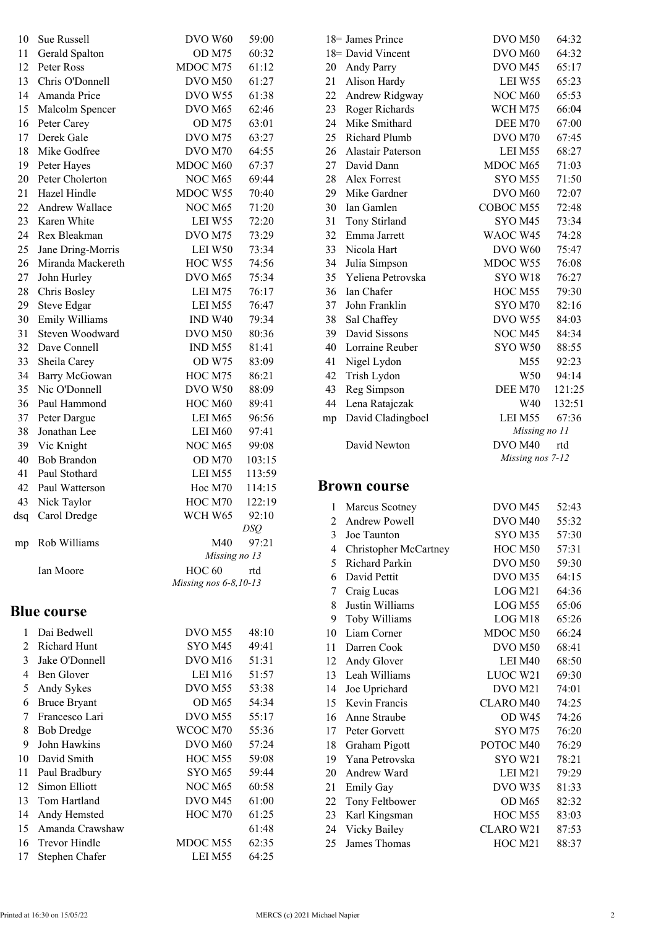| 10             | Sue Russell          | DVO W60               | 59:00  |
|----------------|----------------------|-----------------------|--------|
| 11             | Gerald Spalton       | OD M75                | 60:32  |
| 12             | Peter Ross           | MDOC M75              | 61:12  |
| 13             | Chris O'Donnell      | DVO <sub>M50</sub>    | 61:27  |
| 14             | Amanda Price         | DVO W55               | 61:38  |
| 15             | Malcolm Spencer      | DVO M <sub>65</sub>   | 62:46  |
| 16             | Peter Carey          | OD M75                | 63:01  |
| 17             | Derek Gale           | DVO M75               | 63:27  |
| 18             | Mike Godfree         | DVO M70               | 64:55  |
| 19             | Peter Hayes          | MDOC M60              | 67:37  |
| 20             | Peter Cholerton      | NOC M65               | 69:44  |
|                |                      |                       |        |
| 21             | Hazel Hindle         | MDOC W55              | 70:40  |
| 22             | Andrew Wallace       | NOC M65               | 71:20  |
| 23             | Karen White          | LEI W55               | 72:20  |
| 24             | Rex Bleakman         | DVO M75               | 73:29  |
| 25             | Jane Dring-Morris    | LEI W50               | 73:34  |
| 26             | Miranda Mackereth    | HOC W55               | 74:56  |
| 27             | John Hurley          | DVO M65               | 75:34  |
| 28             | Chris Bosley         | LEI M75               | 76:17  |
| 29             | <b>Steve Edgar</b>   | LEI M55               | 76:47  |
| 30             | Emily Williams       | IND W <sub>40</sub>   | 79:34  |
| 31             | Steven Woodward      | DVO M50               | 80:36  |
| 32             | Dave Connell         | IND <sub>M55</sub>    | 81:41  |
| 33             | Sheila Carey         | OD W75                | 83:09  |
| 34             | Barry McGowan        | HOC M75               | 86:21  |
| 35             | Nic O'Donnell        | DVO W50               | 88:09  |
| 36             | Paul Hammond         | HOC M60               | 89:41  |
| 37             | Peter Dargue         | LEI M65               | 96:56  |
| 38             | Jonathan Lee         | LEI M60               | 97:41  |
|                |                      | NOC M65               |        |
| 39             | Vic Knight           |                       | 99:08  |
| 40             | <b>Bob Brandon</b>   | OD M70                | 103:15 |
| 41             | Paul Stothard        | LEI M55               | 113:59 |
| 42             | Paul Watterson       | Hoc M70               | 114:15 |
| 43             | Nick Taylor          | HOC M70               | 122:19 |
| dsq            | Carol Dredge         | WCH W65               | 92:10  |
|                |                      | DSQ                   |        |
| mp             | Rob Williams         | M40                   | 97:21  |
|                |                      | Missing no 13         |        |
|                | Ian Moore            | $HOC$ 60              | rtd    |
|                |                      | Missing nos 6-8,10-13 |        |
|                | <b>Blue course</b>   |                       |        |
|                |                      |                       |        |
| 1              | Dai Bedwell          | DVO <sub>M55</sub>    | 48:10  |
| $\mathfrak{D}$ | Richard Hunt         | SYO M45               | 49:41  |
| 3              | Jake O'Donnell       | DVO M <sub>16</sub>   | 51:31  |
| $\overline{4}$ | Ben Glover           | LEI M16               | 51:57  |
| 5              | Andy Sykes           | DVO M55               | 53:38  |
| 6              | <b>Bruce Bryant</b>  | OD M65                | 54:34  |
| 7              | Francesco Lari       | DVO M55               | 55:17  |
| 8              | <b>Bob Dredge</b>    | WCOC M70              | 55:36  |
| 9              | John Hawkins         | DVO M60               | 57:24  |
| 10             | David Smith          | HOC M55               | 59:08  |
| 11             | Paul Bradbury        | SYO M65               | 59:44  |
| 12             | <b>Simon Elliott</b> | NOC M65               | 60:58  |
| 13             | Tom Hartland         | DVO M45               | 61:00  |
| 14             | Andy Hemsted         | HOC M70               | 61:25  |
| 15             | Amanda Crawshaw      |                       | 61:48  |
| 16             | Trevor Hindle        | MDOC M55              | 62:35  |
|                |                      |                       |        |

17 Stephen Chafer LEI M55 64:25

|    | 18 James Prince   | DVO <sub>M50</sub>  | 64:32  |
|----|-------------------|---------------------|--------|
|    | 18 David Vincent  | DVO M60             | 64:32  |
| 20 | Andy Parry        | DVO M45             | 65:17  |
| 21 | Alison Hardy      | LEI W55             | 65:23  |
| 22 | Andrew Ridgway    | <b>NOC M60</b>      | 65:53  |
| 23 | Roger Richards    | WCH M75             | 66:04  |
| 24 | Mike Smithard     | DEE M70             | 67:00  |
| 25 | Richard Plumb     | DVO M70             | 67:45  |
| 26 | Alastair Paterson | LEI M55             | 68:27  |
| 27 | David Dann        | MDOC M65            | 71:03  |
| 28 | Alex Forrest      | SYOM55              | 71:50  |
| 29 | Mike Gardner      | DVO M <sub>60</sub> | 72:07  |
| 30 | Ian Gamlen        | COBOC M55           | 72:48  |
| 31 | Tony Stirland     | SYOM45              | 73:34  |
| 32 | Emma Jarrett      | WAOC W45            | 74:28  |
| 33 | Nicola Hart       | DVO W60             | 75:47  |
| 34 | Julia Simpson     | MDOC W55            | 76:08  |
| 35 | Yeliena Petrovska | SYO W18             | 76:27  |
| 36 | Ian Chafer        | HOC M55             | 79:30  |
| 37 | John Franklin     | SYO M70             | 82:16  |
| 38 | Sal Chaffey       | DVO W55             | 84:03  |
| 39 | David Sissons     | NOC M45             | 84:34  |
| 40 | Lorraine Reuber   | SYO W50             | 88:55  |
| 41 | Nigel Lydon       | M55                 | 92:23  |
| 42 | Trish Lydon       | W50                 | 94:14  |
| 43 | Reg Simpson       | DEE M70             | 121:25 |
| 44 | Lena Ratajczak    | W40                 | 132:51 |
| mp | David Cladingboel | LEI M55             | 67:36  |
|    |                   | Missing no 11       |        |
|    | David Newton      | DVO M40             | rtd    |
|    |                   | Missing nos 7-12    |        |
|    |                   |                     |        |

## **Brown course**

| 1  | Marcus Scotney        | DVO M45             | 52:43 |
|----|-----------------------|---------------------|-------|
| 2  | Andrew Powell         | DVO M <sub>40</sub> | 55:32 |
| 3  | Joe Taunton           | SYO M35             | 57:30 |
| 4  | Christopher McCartney | HOC M50             | 57:31 |
| 5  | Richard Parkin        | DVO <sub>M50</sub>  | 59:30 |
| 6  | David Pettit          | DVO M35             | 64:15 |
| 7  | Craig Lucas           | LOG M21             | 64:36 |
| 8  | Justin Williams       | LOG M55             | 65:06 |
| 9  | Toby Williams         | LOG M18             | 65:26 |
| 10 | Liam Corner           | MDOC M50            | 66:24 |
| 11 | Darren Cook           | DVO M50             | 68:41 |
| 12 | Andy Glover           | LEI M40             | 68:50 |
| 13 | Leah Williams         | LUOC W21            | 69:30 |
| 14 | Joe Uprichard         | DVO M21             | 74:01 |
| 15 | Kevin Francis         | CLARO M40           | 74:25 |
| 16 | Anne Straube          | OD W45              | 74:26 |
| 17 | Peter Gorvett         | SYO M75             | 76:20 |
| 18 | Graham Pigott         | POTOC M40           | 76:29 |
| 19 | Yana Petrovska        | <b>SYO W21</b>      | 78:21 |
| 20 | Andrew Ward           | LEI M21             | 79:29 |
| 21 | Emily Gay             | DVO W35             | 81:33 |
| 22 | Tony Feltbower        | OD M65              | 82:32 |
| 23 | Karl Kingsman         | HOC M55             | 83:03 |
| 24 | Vicky Bailey          | CLARO W21           | 87:53 |
| 25 | James Thomas          | HOC M21             | 88:37 |
|    |                       |                     |       |